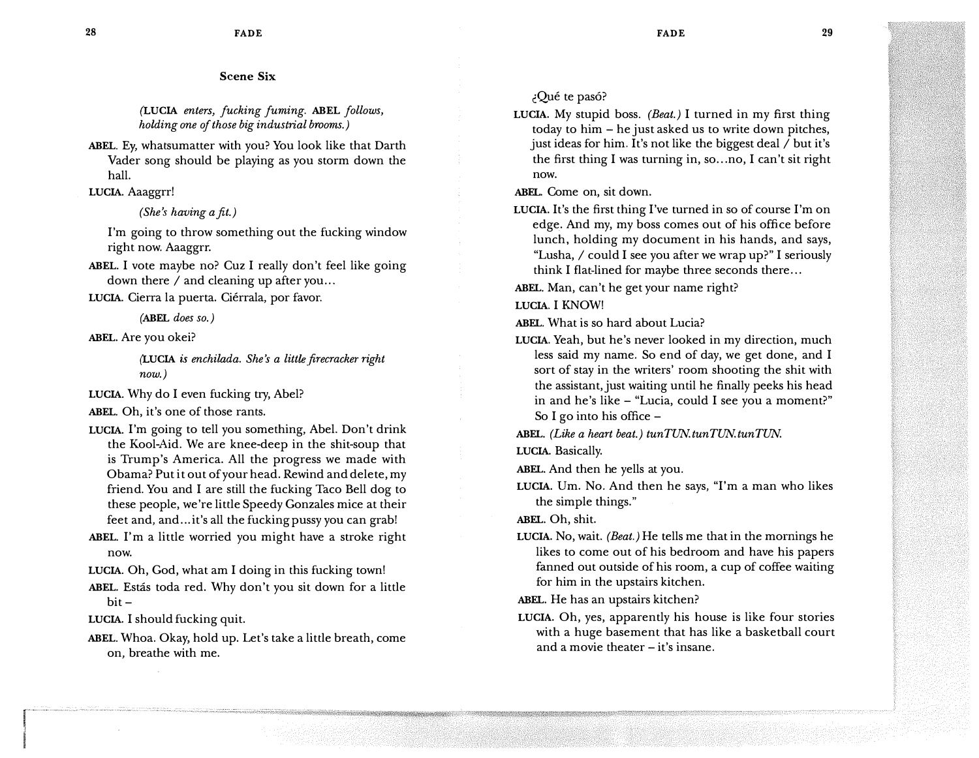�Que te pas6?

LUCIA. My stupid boss. *(Beat.)* I turned in my first thing today to him - he just asked us to write down pitches, just ideas for him. It's not like the biggest deal / but it's the first thing I was turning in, so... no, I can't sit right now.

ABEL. Come on, sit down.

LUCIA. It's the first thing I've turned in so of course I'm on edge. And my, my boss comes out of his office before lunch, holding my document in his hands, and says, "Lusha, / could I see you after we wrap up?" I seriously think I flat-lined for maybe three seconds there ...

**ABEL.** Man, can't he get your name right?

**LUCIA.** I KNOW!

**ABEL.** What is so hard about Lucia?

**LUCIA.** Yeah, but he's never looked in my direction, much less said my name. So end of day, we get done, and I sort of stay in the writers' room shooting the shit with the assistant, just waiting until he finally peeks his head in and he's like - "Lucia, could I see you a moment?" So I go into his office -

**ABEL.** *(Like a heart beat.) tunTUN.tunTUN.tunTUN.* 

**LUCIA.** Basically.

**ABEL.** And then he yells at you.

LUCIA. Um. No. And then he says, "I'm a man who likes the simple things."

ABEL. Oh, shit.

- LUCIA. No, wait. *(Beat.)* He tells me that in the mornings he likes to come out of his bedroom and have his papers fanned out outside of his room, a cup of coffee waiting for him in the upstairs kitchen.
- ABEL. He has an upstairs kitchen?
- LUCIA. Oh, yes, apparently his house is like four stories with a huge basement that has like a basketball court and a movie theater – it's insane.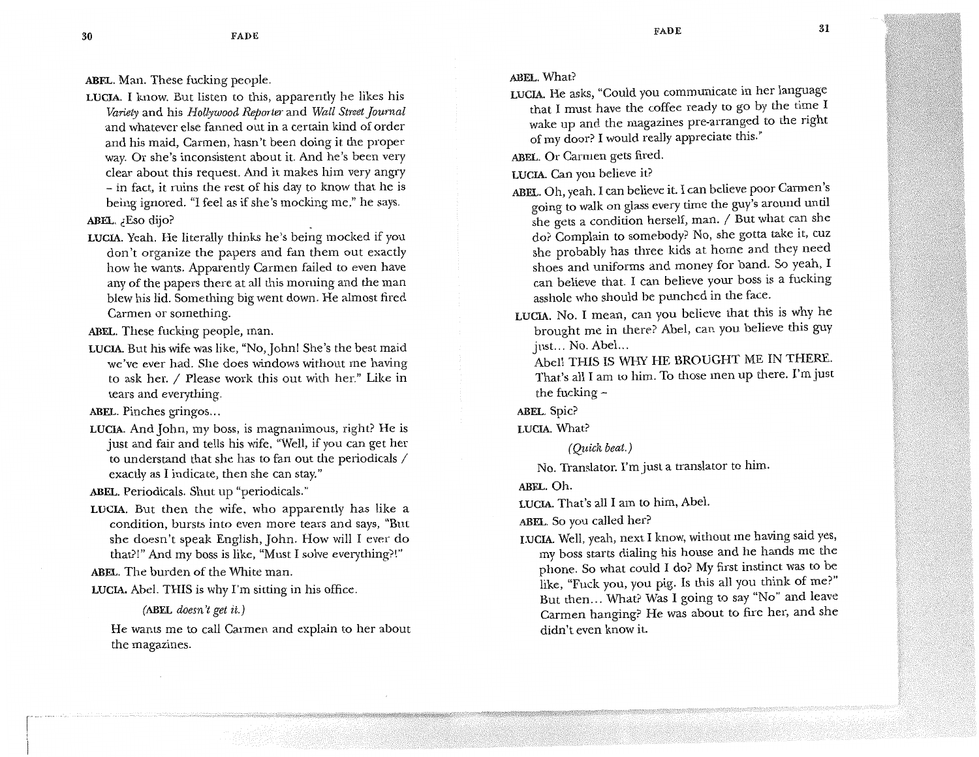- **ABEL**. Man. These fucking people.
- LUCIA. I know. But listen to this, apparently he likes his Variety and his Hollywood Reporter and Wall Street Journal and whatever else fanned out in a certain kind of order and his maid, Carmen, hasn't been doing it the proper way. Or she's inconsistent about it. And he's been very clear about this request. And it makes him very angry - in fact, it ruins the rest of his day to know that he is being ignored. "I feel as if she's mocking me," he says.
- ABEL. Eso dijo?
- LUCIA. Yeah. He literally thinks he's being mocked if you don't organize the papers and fan them out exactly how he wants. Apparently Carmen failed to even have any of the papers there at all this morning and the man blew his lid. Something big went down. He almost fired Carmen or something.
- ABEL. These fucking people, man.
- LUCIA. But his wife was like, "No, John! She's the best maid we've ever had. She does windows without me having to ask her. / Please work this out with her." Like in tears and everything.
- ABEL. Pinches gringos...
- LUCIA. And John, my boss, is magnanimous, right? He is just and fair and tells his wife, "Well, if you can get her to understand that she has to fan out the periodicals / exactly as I indicate, then she can stay."

ABEL. Periodicals. Shut up "periodicals."

LUCIA. But then the wife, who apparently has like a condition, bursts into even more tears and says, "But she doesn't speak English, John. How will I ever do that?!" And my boss is like, "Must I solve everything?!"

ABEL. The burden of the White man.

LUCIA. Abel. THIS is why I'm sitting in his office.

 $(ABEL \ doesn't get it.)$ 

He wants me to call Carmen and explain to her about the magazines.